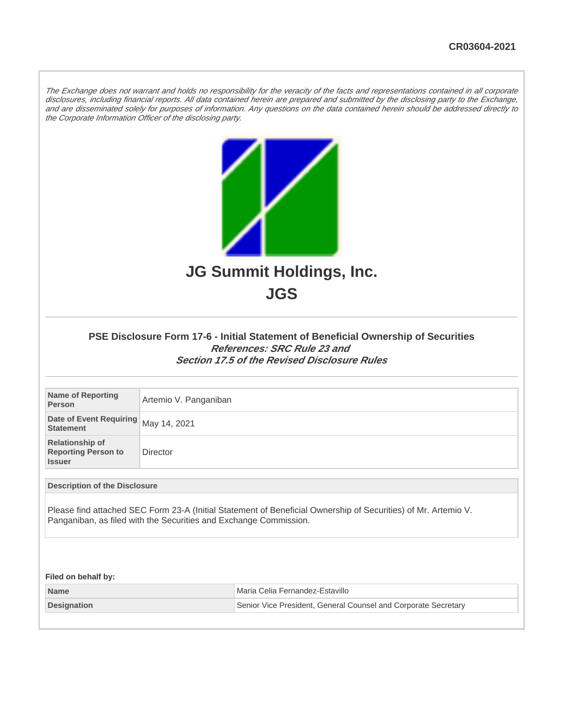The Exchange does not warrant and holds no responsibility for the veracity of the facts and representations contained in all corporate disclosures, including financial reports. All data contained herein are prepared and submitted by the disclosing party to the Exchange, and are disseminated solely for purposes of information. Any questions on the data contained herein should be addressed directly to the Corporate Information Officer of the disclosing party.



# **PSE Disclosure Form 17-6 - Initial Statement of Beneficial Ownership of Securities References: SRC Rule 23 and Section 17.5 of the Revised Disclosure Rules**

| <b>Name of Reporting</b><br>Person                                                                                                                                                  | Artemio V. Panganiban |                                 |  |  |  |  |  |  |  |  |
|-------------------------------------------------------------------------------------------------------------------------------------------------------------------------------------|-----------------------|---------------------------------|--|--|--|--|--|--|--|--|
| Date of Event Requiring<br><b>Statement</b>                                                                                                                                         | May 14, 2021          |                                 |  |  |  |  |  |  |  |  |
| <b>Relationship of</b><br><b>Reporting Person to</b><br><b>Issuer</b>                                                                                                               | Director              |                                 |  |  |  |  |  |  |  |  |
| <b>Description of the Disclosure</b>                                                                                                                                                |                       |                                 |  |  |  |  |  |  |  |  |
| Please find attached SEC Form 23-A (Initial Statement of Beneficial Ownership of Securities) of Mr. Artemio V.<br>Panganiban, as filed with the Securities and Exchange Commission. |                       |                                 |  |  |  |  |  |  |  |  |
| Filed on behalf by:                                                                                                                                                                 |                       |                                 |  |  |  |  |  |  |  |  |
| <b>Name</b>                                                                                                                                                                         |                       | Maria Celia Fernandez-Estavillo |  |  |  |  |  |  |  |  |
|                                                                                                                                                                                     |                       |                                 |  |  |  |  |  |  |  |  |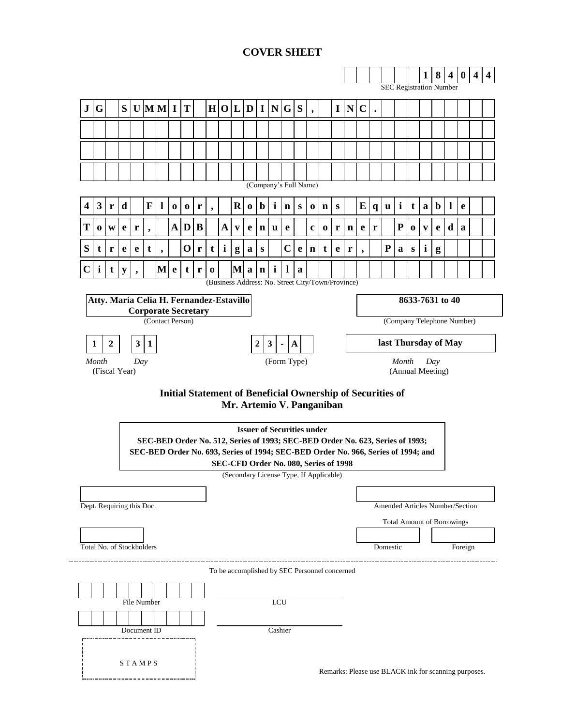# **COVER SHEET**

|                                      |          |                  |               |                                                                                   |           |                                                                               |              |             |             |                          |              |                                                                                                |          |             |                                                                                                   |                                   |              |                          |          |   |     |             |              | <b>SEC Registration Number</b> |              |           | $\mathbf{1}$ | 8                | $\overline{\mathbf{4}}$           | $\mathbf{0}$                    | $\overline{\mathbf{4}}$ | $\overline{\mathbf{4}}$ |
|--------------------------------------|----------|------------------|---------------|-----------------------------------------------------------------------------------|-----------|-------------------------------------------------------------------------------|--------------|-------------|-------------|--------------------------|--------------|------------------------------------------------------------------------------------------------|----------|-------------|---------------------------------------------------------------------------------------------------|-----------------------------------|--------------|--------------------------|----------|---|-----|-------------|--------------|--------------------------------|--------------|-----------|--------------|------------------|-----------------------------------|---------------------------------|-------------------------|-------------------------|
|                                      |          |                  |               |                                                                                   |           |                                                                               |              |             |             |                          |              |                                                                                                |          |             |                                                                                                   |                                   |              |                          |          |   |     |             |              |                                |              |           |              |                  |                                   |                                 |                         |                         |
| ${\bf J}$                            | G        |                  | S             |                                                                                   |           | $\mathbf{U}[\mathbf{M} \mathbf{M}]$ I                                         |              | T           |             |                          |              | H O L D I N G S                                                                                |          |             |                                                                                                   |                                   |              | $\overline{\phantom{a}}$ |          |   | I N | $\mathbf C$ | $\bullet$    |                                |              |           |              |                  |                                   |                                 |                         |                         |
|                                      |          |                  |               |                                                                                   |           |                                                                               |              |             |             |                          |              |                                                                                                |          |             |                                                                                                   |                                   |              |                          |          |   |     |             |              |                                |              |           |              |                  |                                   |                                 |                         |                         |
|                                      |          |                  |               |                                                                                   |           |                                                                               |              |             |             |                          |              |                                                                                                |          |             |                                                                                                   |                                   |              |                          |          |   |     |             |              |                                |              |           |              |                  |                                   |                                 |                         |                         |
|                                      |          |                  |               |                                                                                   |           |                                                                               |              |             |             |                          |              |                                                                                                |          |             |                                                                                                   |                                   |              |                          |          |   |     |             |              |                                |              |           |              |                  |                                   |                                 |                         |                         |
|                                      |          |                  |               |                                                                                   |           |                                                                               |              |             |             |                          |              |                                                                                                |          |             |                                                                                                   |                                   |              |                          |          |   |     |             |              |                                |              |           |              |                  |                                   |                                 |                         |                         |
|                                      |          |                  |               |                                                                                   |           |                                                                               |              |             |             |                          |              |                                                                                                |          |             |                                                                                                   | (Company's Full Name)             |              |                          |          |   |     |             |              |                                |              |           |              |                  |                                   |                                 |                         |                         |
| 4                                    | 3        | r                | d             |                                                                                   | F         | $\mathbf{l}$                                                                  | $\bf{0}$     | $\bf{0}$    | r           | $\overline{\phantom{a}}$ |              | $\bf R$                                                                                        | $\bf{0}$ | $\mathbf b$ | i                                                                                                 | $\mathbf n$                       | S            | $\mathbf{o}$             | n        | S |     | E           | $\mathbf{q}$ | u                              | $\mathbf{i}$ | t         | a            | $\mathbf b$      | -1                                | e                               |                         |                         |
| Т                                    | $\bf{0}$ | W                | e             | r                                                                                 | $\bullet$ |                                                                               | $\mathbf{A}$ | D           | B           |                          | $\mathbf{A}$ | $\mathbf{v}$                                                                                   | e        | $\mathbf n$ | u                                                                                                 | e                                 |              | $\mathbf c$              | $\bf{0}$ | r | n   | e           | r            |                                | ${\bf P}$    | $\bf{0}$  | $\mathbf{v}$ | e                | d                                 | a                               |                         |                         |
| S                                    | t        | r                | $\mathbf e$   | e                                                                                 | t         | $\overline{\phantom{a}}$                                                      |              | $\mathbf 0$ | ${\bf r}$   | $\mathbf t$              | $\mathbf{i}$ | $\boldsymbol{g}$                                                                               | a        | S           |                                                                                                   | $\mathbf C$                       | $\mathbf{e}$ | $\mathbf n$              | t        | e | r   |             |              | ${\bf P}$                      | $\mathbf a$  | ${\bf S}$ | $\mathbf{i}$ | g                |                                   |                                 |                         |                         |
|                                      |          |                  |               |                                                                                   |           |                                                                               |              |             |             |                          |              |                                                                                                |          |             |                                                                                                   |                                   |              |                          |          |   |     |             |              |                                |              |           |              |                  |                                   |                                 |                         |                         |
| $\mathbf C$                          | i        | t                | $\mathbf y$   | $\overline{\phantom{a}}$                                                          |           | $\mathbf{M}$                                                                  | $\mathbf{e}$ | t           | $\mathbf r$ | $\bf{0}$                 |              | (Business Address: No. Street City/Town/Province)                                              | M a n    |             | $\mathbf{i}$                                                                                      | $\mathbf{l}$                      | $\mathbf a$  |                          |          |   |     |             |              |                                |              |           |              |                  |                                   |                                 |                         |                         |
|                                      |          |                  |               | Atty. Maria Celia H. Fernandez-Estavillo                                          |           |                                                                               |              |             |             |                          |              |                                                                                                |          |             |                                                                                                   |                                   |              |                          |          |   |     |             |              |                                |              |           |              |                  | 8633-7631 to 40                   |                                 |                         |                         |
|                                      |          |                  |               | <b>Corporate Secretary</b>                                                        |           |                                                                               |              |             |             |                          |              |                                                                                                |          |             |                                                                                                   |                                   |              |                          |          |   |     |             |              |                                |              |           |              |                  |                                   |                                 |                         |                         |
|                                      |          |                  |               |                                                                                   |           | (Contact Person)                                                              |              |             |             |                          |              |                                                                                                |          |             |                                                                                                   |                                   |              |                          |          |   |     |             |              |                                |              |           |              |                  |                                   | (Company Telephone Number)      |                         |                         |
|                                      |          | $\boldsymbol{2}$ |               | $\mathbf{3}$                                                                      | $\vert$ 1 |                                                                               |              |             |             |                          |              |                                                                                                |          |             | last Thursday of May<br>$\mathbf{A}$<br>1<br>$\boldsymbol{2}$<br>3 <sup>1</sup><br>$\blacksquare$ |                                   |              |                          |          |   |     |             |              |                                |              |           |              |                  |                                   |                                 |                         |                         |
| Month<br>(Form Type)<br>Day<br>Month |          |                  |               |                                                                                   |           |                                                                               |              |             |             |                          |              |                                                                                                |          |             |                                                                                                   |                                   |              |                          |          |   |     |             |              |                                |              |           |              |                  |                                   |                                 |                         |                         |
|                                      |          |                  | (Fiscal Year) | Day                                                                               |           |                                                                               |              |             |             |                          |              |                                                                                                |          |             |                                                                                                   |                                   |              |                          |          |   |     |             |              |                                |              |           |              | (Annual Meeting) |                                   |                                 |                         |                         |
|                                      |          |                  |               |                                                                                   |           |                                                                               |              |             |             |                          |              | <b>Initial Statement of Beneficial Ownership of Securities of</b><br>Mr. Artemio V. Panganiban |          |             |                                                                                                   |                                   |              |                          |          |   |     |             |              |                                |              |           |              |                  |                                   |                                 |                         |                         |
|                                      |          |                  |               |                                                                                   |           |                                                                               |              |             |             |                          |              |                                                                                                |          |             |                                                                                                   | <b>Issuer of Securities under</b> |              |                          |          |   |     |             |              |                                |              |           |              |                  |                                   |                                 |                         |                         |
|                                      |          |                  |               |                                                                                   |           | SEC-BED Order No. 512, Series of 1993; SEC-BED Order No. 623, Series of 1993; |              |             |             |                          |              |                                                                                                |          |             |                                                                                                   |                                   |              |                          |          |   |     |             |              |                                |              |           |              |                  |                                   |                                 |                         |                         |
|                                      |          |                  |               | SEC-BED Order No. 693, Series of 1994; SEC-BED Order No. 966, Series of 1994; and |           |                                                                               |              |             |             |                          |              |                                                                                                |          |             |                                                                                                   |                                   |              |                          |          |   |     |             |              |                                |              |           |              |                  |                                   |                                 |                         |                         |
|                                      |          |                  |               |                                                                                   |           |                                                                               |              |             |             |                          |              | SEC-CFD Order No. 080, Series of 1998<br>(Secondary License Type, If Applicable)               |          |             |                                                                                                   |                                   |              |                          |          |   |     |             |              |                                |              |           |              |                  |                                   |                                 |                         |                         |
|                                      |          |                  |               |                                                                                   |           |                                                                               |              |             |             |                          |              |                                                                                                |          |             |                                                                                                   |                                   |              |                          |          |   |     |             |              |                                |              |           |              |                  |                                   |                                 |                         |                         |
|                                      |          |                  |               | Dept. Requiring this Doc.                                                         |           |                                                                               |              |             |             |                          |              |                                                                                                |          |             |                                                                                                   |                                   |              |                          |          |   |     |             |              |                                |              |           |              |                  |                                   | Amended Articles Number/Section |                         |                         |
|                                      |          |                  |               |                                                                                   |           |                                                                               |              |             |             |                          |              |                                                                                                |          |             |                                                                                                   |                                   |              |                          |          |   |     |             |              |                                |              |           |              |                  | <b>Total Amount of Borrowings</b> |                                 |                         |                         |
|                                      |          |                  |               |                                                                                   |           |                                                                               |              |             |             |                          |              |                                                                                                |          |             |                                                                                                   |                                   |              |                          |          |   |     |             |              |                                |              |           |              |                  |                                   |                                 |                         |                         |
|                                      |          |                  |               | Total No. of Stockholders                                                         |           |                                                                               |              |             |             |                          |              |                                                                                                |          |             |                                                                                                   |                                   |              |                          |          |   |     |             |              | Domestic                       |              |           |              |                  |                                   | Foreign                         |                         |                         |
|                                      |          |                  |               |                                                                                   |           |                                                                               |              |             |             |                          |              | To be accomplished by SEC Personnel concerned                                                  |          |             |                                                                                                   |                                   |              |                          |          |   |     |             |              |                                |              |           |              |                  |                                   |                                 |                         |                         |
|                                      |          |                  |               |                                                                                   |           |                                                                               |              |             |             |                          |              |                                                                                                |          |             |                                                                                                   |                                   |              |                          |          |   |     |             |              |                                |              |           |              |                  |                                   |                                 |                         |                         |
|                                      |          |                  |               | File Number                                                                       |           |                                                                               |              |             |             |                          |              |                                                                                                |          |             | $_{\rm LCU}$                                                                                      |                                   |              |                          |          |   |     |             |              |                                |              |           |              |                  |                                   |                                 |                         |                         |
|                                      |          |                  |               |                                                                                   |           |                                                                               |              |             |             |                          |              |                                                                                                |          |             |                                                                                                   |                                   |              |                          |          |   |     |             |              |                                |              |           |              |                  |                                   |                                 |                         |                         |
|                                      |          |                  |               | Document ID                                                                       |           |                                                                               |              |             |             |                          |              |                                                                                                |          |             | Cashier                                                                                           |                                   |              |                          |          |   |     |             |              |                                |              |           |              |                  |                                   |                                 |                         |                         |
|                                      |          |                  |               | STAMPS                                                                            |           |                                                                               |              |             |             |                          |              |                                                                                                |          |             |                                                                                                   |                                   |              |                          |          |   |     |             |              |                                |              |           |              |                  |                                   |                                 |                         |                         |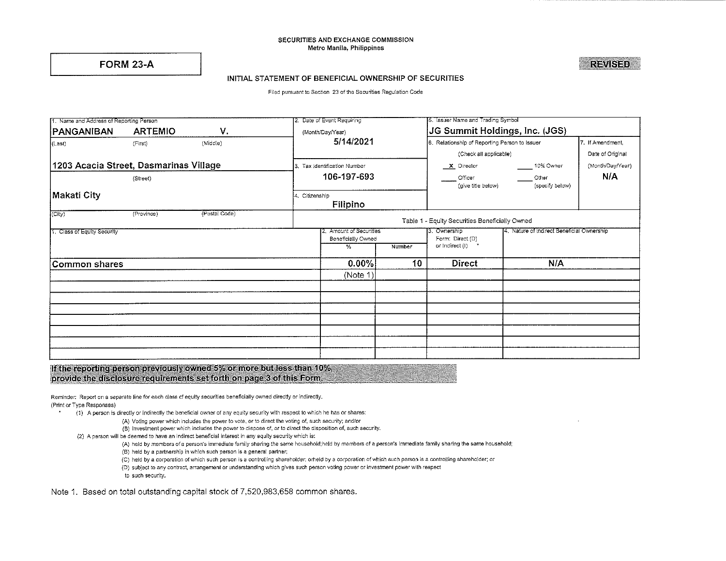#### SECURITIES AND EXCHANGE COMMISSION Metro Manila, Philippines

**FORM 23-A** 

#### **REVISED**

#### INITIAL STATEMENT OF BENEFICIAL OWNERSHIP OF SECURITIES

Filed pursuant to Section 23 of the Securities Regulation Code

| JG Summit Holdings, Inc. (JGS)<br>۷.<br><b>ARTEMIO</b><br>(Month/Day/Year)<br>5/14/2021<br>6. Relationship of Reporting Person to Issuer<br>7. If Amendment,<br>(Middle)<br>(First)<br>(Check all applicable)<br>Date of Original<br>1203 Acacia Street, Dasmarinas Village<br>3. Tax Identification Number<br>10% Owner<br>(Month/Day/Year)<br>$X$ Director<br>N/A<br>106-197-693<br>Officer<br>Other<br>(Street)<br>(give title below)<br>(specify below)<br>4. Citizenship<br>Filipino<br>(Postal Code)<br>(Province)<br>Table 1 - Equity Securities Beneficially Owned<br>4. Nature of Indirect Beneficial Ownership<br>2. Amount of Securities<br>3. Ownership<br>1. Class of Equity Security<br>Form: Direct (D)<br>Beneficially Owned<br>or indirect (I) *<br>$\frac{9}{6}$<br>Number<br>0.00%<br>10<br>N/A<br>Direct<br><b>Common shares</b><br>(Note 1) | 1. Name and Address of Reporting Person |  |  |  | 2. Date of Event Requiring | 5. Issuer Name and Trading Symbol |  |  |  |  |  |  |
|------------------------------------------------------------------------------------------------------------------------------------------------------------------------------------------------------------------------------------------------------------------------------------------------------------------------------------------------------------------------------------------------------------------------------------------------------------------------------------------------------------------------------------------------------------------------------------------------------------------------------------------------------------------------------------------------------------------------------------------------------------------------------------------------------------------------------------------------------------------|-----------------------------------------|--|--|--|----------------------------|-----------------------------------|--|--|--|--|--|--|
|                                                                                                                                                                                                                                                                                                                                                                                                                                                                                                                                                                                                                                                                                                                                                                                                                                                                  | PANGANIBAN                              |  |  |  |                            |                                   |  |  |  |  |  |  |
|                                                                                                                                                                                                                                                                                                                                                                                                                                                                                                                                                                                                                                                                                                                                                                                                                                                                  | (Last)                                  |  |  |  |                            |                                   |  |  |  |  |  |  |
|                                                                                                                                                                                                                                                                                                                                                                                                                                                                                                                                                                                                                                                                                                                                                                                                                                                                  |                                         |  |  |  |                            |                                   |  |  |  |  |  |  |
|                                                                                                                                                                                                                                                                                                                                                                                                                                                                                                                                                                                                                                                                                                                                                                                                                                                                  |                                         |  |  |  |                            |                                   |  |  |  |  |  |  |
|                                                                                                                                                                                                                                                                                                                                                                                                                                                                                                                                                                                                                                                                                                                                                                                                                                                                  |                                         |  |  |  |                            |                                   |  |  |  |  |  |  |
|                                                                                                                                                                                                                                                                                                                                                                                                                                                                                                                                                                                                                                                                                                                                                                                                                                                                  | Makati City                             |  |  |  |                            |                                   |  |  |  |  |  |  |
|                                                                                                                                                                                                                                                                                                                                                                                                                                                                                                                                                                                                                                                                                                                                                                                                                                                                  | (City)                                  |  |  |  |                            |                                   |  |  |  |  |  |  |
|                                                                                                                                                                                                                                                                                                                                                                                                                                                                                                                                                                                                                                                                                                                                                                                                                                                                  |                                         |  |  |  |                            |                                   |  |  |  |  |  |  |
|                                                                                                                                                                                                                                                                                                                                                                                                                                                                                                                                                                                                                                                                                                                                                                                                                                                                  |                                         |  |  |  |                            |                                   |  |  |  |  |  |  |
|                                                                                                                                                                                                                                                                                                                                                                                                                                                                                                                                                                                                                                                                                                                                                                                                                                                                  |                                         |  |  |  |                            |                                   |  |  |  |  |  |  |
|                                                                                                                                                                                                                                                                                                                                                                                                                                                                                                                                                                                                                                                                                                                                                                                                                                                                  |                                         |  |  |  |                            |                                   |  |  |  |  |  |  |
|                                                                                                                                                                                                                                                                                                                                                                                                                                                                                                                                                                                                                                                                                                                                                                                                                                                                  |                                         |  |  |  |                            |                                   |  |  |  |  |  |  |
|                                                                                                                                                                                                                                                                                                                                                                                                                                                                                                                                                                                                                                                                                                                                                                                                                                                                  |                                         |  |  |  |                            |                                   |  |  |  |  |  |  |
|                                                                                                                                                                                                                                                                                                                                                                                                                                                                                                                                                                                                                                                                                                                                                                                                                                                                  |                                         |  |  |  |                            |                                   |  |  |  |  |  |  |
|                                                                                                                                                                                                                                                                                                                                                                                                                                                                                                                                                                                                                                                                                                                                                                                                                                                                  |                                         |  |  |  |                            |                                   |  |  |  |  |  |  |
|                                                                                                                                                                                                                                                                                                                                                                                                                                                                                                                                                                                                                                                                                                                                                                                                                                                                  |                                         |  |  |  |                            |                                   |  |  |  |  |  |  |
|                                                                                                                                                                                                                                                                                                                                                                                                                                                                                                                                                                                                                                                                                                                                                                                                                                                                  |                                         |  |  |  |                            |                                   |  |  |  |  |  |  |
|                                                                                                                                                                                                                                                                                                                                                                                                                                                                                                                                                                                                                                                                                                                                                                                                                                                                  |                                         |  |  |  |                            |                                   |  |  |  |  |  |  |

If the reporting person previously owned 5% or more but less than 10%. provide the disclosure requirements set forth on page 3 of this Form.

Reminder: Report on a separate line for each class of equity securities beneficially owned directly or indirectly. (Print or Type Responses)

(1) A person is directly or indirectly the beneficial owner of any equity security with respect to which he has or shares:

(A) Voting power which includes the power to vote, or to direct the voting of, such security; and/or

(B) Investment power which includes the power to dispose of, or to direct the disposition of, such security.

(2) A person will be deemed to have an indirect beneficial interest in any equity security which is:

(A) held by members of a person's immediate family sharing the same household;held by members of a person's immediate family sharing the same household;

(B) held by a partnership in which such person is a general partner;

(C) held by a corporation of which such person is a controlling shareholder; orheld by a corporation of which such person is a controlling shareholder; or

(D) subject to any contract, arrangement or understanding which gives such person voting power or investment power with respect

to such security.

Note 1. Based on total outstanding capital stock of 7,520,983,658 common shares.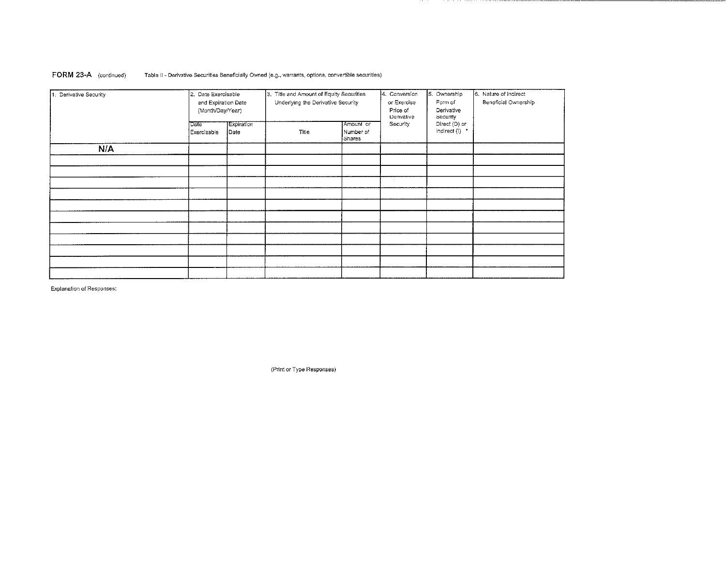#### FORM 23-A (continued) Table II - Derivative Securities Beneficially Owned (e.g., warrants, options, convertible securities)

| 1. Derivative Security | 2. Date Exercisable<br>(Month/Day/Year) | and Expiration Date | 3. Title and Amount of Equity Securities<br>Underlying the Derivative Security |                                  | 4. Conversion<br>or Exercise<br>Price of<br>Derivative | 5. Ownership<br>Form of<br>Derivative<br>Security | 6. Nature of Indirect<br>Beneficial Ownership |
|------------------------|-----------------------------------------|---------------------|--------------------------------------------------------------------------------|----------------------------------|--------------------------------------------------------|---------------------------------------------------|-----------------------------------------------|
|                        | Date<br>Exercisable                     | Expiration<br>Date  | Title                                                                          | Amount or<br>Number of<br>Shares | Security                                               | Direct (D) or<br>Indirect (I) *                   |                                               |
| N/A                    |                                         |                     |                                                                                |                                  |                                                        |                                                   |                                               |
|                        |                                         |                     |                                                                                |                                  |                                                        |                                                   |                                               |
|                        |                                         |                     |                                                                                |                                  |                                                        |                                                   |                                               |
|                        |                                         |                     |                                                                                |                                  |                                                        |                                                   |                                               |
|                        |                                         |                     |                                                                                |                                  |                                                        |                                                   |                                               |
|                        |                                         |                     |                                                                                |                                  |                                                        |                                                   |                                               |
|                        |                                         |                     |                                                                                |                                  |                                                        |                                                   |                                               |
|                        |                                         |                     |                                                                                |                                  |                                                        |                                                   |                                               |
|                        |                                         |                     |                                                                                |                                  |                                                        |                                                   |                                               |
|                        |                                         |                     |                                                                                |                                  |                                                        |                                                   |                                               |
|                        |                                         |                     |                                                                                |                                  |                                                        |                                                   |                                               |
|                        |                                         |                     |                                                                                |                                  |                                                        |                                                   |                                               |

Explanation of Responses:

(Print or Type Responses)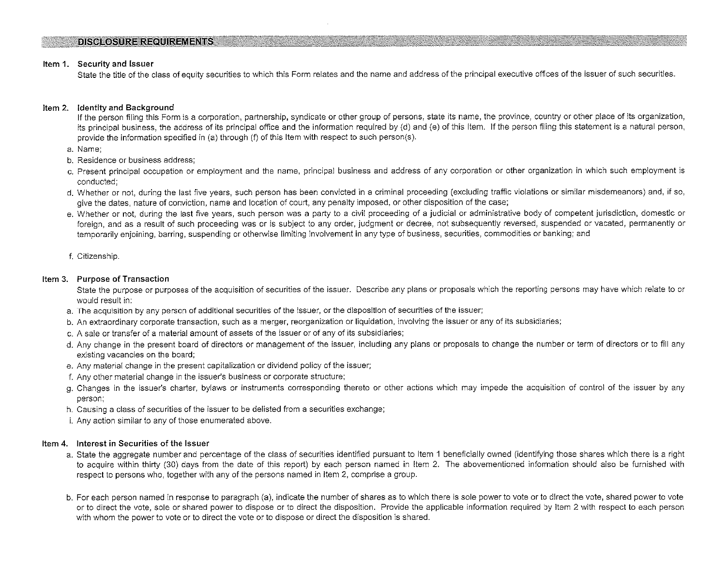#### DISCLOSURE REQUIREMENTS

#### Item 1. Security and Issuer

State the title of the class of equity securities to which this Form relates and the name and address of the principal executive offices of the issuer of such securities.

#### Item 2. Identity and Background

If the person filing this Form is a corporation, partnership, syndicate or other group of persons, state its name, the province, country or other place of its organization, its principal business, the address of its principal office and the information required by (d) and (e) of this Item. If the person filing this statement is a natural person, provide the information specified in (a) through (f) of this ltem with respect to such person(s).

- a. Name:
- b. Residence or business address;
- c. Present principal occupation or employment and the name, principal business and address of any corporation or other organization in which such employment is conducted;
- d. Whether or not, during the last five years, such person has been convicted in a criminal proceeding (excluding traffic violations or similar misdemeanors) and, if so, give the dates, nature of conviction, name and location of court, any penalty imposed, or other disposition of the case;
- e. Whether or not, during the last five years, such person was a party to a civil proceeding of a judicial or administrative body of competent jurisdiction, domestic or foreign, and as a result of such proceeding was or is subject to any order, judgment or decree, not subsequently reversed, suspended or vacated, permanently or temporarily enjoining, barring, suspending or otherwise limiting involvement in any type of business, securities, commodities or banking; and
- f. Citizenship.

#### Item 3. Purpose of Transaction

State the purpose or purposes of the acquisition of securities of the issuer. Describe any plans or proposals which the reporting persons may have which relate to or would result in:

- a. The acquisition by any person of additional securities of the issuer, or the disposition of securities of the issuer;
- b. An extraordinary corporate transaction, such as a merger, reorganization or liquidation, involving the issuer or any of its subsidiaries;
- c. A sale or transfer of a material amount of assets of the issuer or of any of its subsidiaries;
- d. Any change in the present board of directors or management of the issuer, including any plans or proposals to change the number or term of directors or to fill any existing vacancies on the board;
- e. Any material change in the present capitalization or dividend policy of the issuer;
- f. Any other material change in the issuer's business or corporate structure;
- g. Changes in the issuer's charter, bylaws or instruments corresponding thereto or other actions which may impede the acquisition of control of the issuer by any person;
- h. Causing a class of securities of the issuer to be delisted from a securities exchange;
- i. Any action similar to any of those enumerated above.

#### Item 4. Interest in Securities of the Issuer

- a. State the aggregate number and percentage of the class of securities identified pursuant to Item 1 beneficially owned (identifying those shares which there is a right to acquire within thirty (30) days from the date of this report) by each person named in Item 2. The abovementioned information should also be furnished with respect to persons who, together with any of the persons named in Item 2, comprise a group.
- b. For each person named in response to paragraph (a), indicate the number of shares as to which there is sole power to vote or to direct the vote, shared power to vote or to direct the vote, sole or shared power to dispose or to direct the disposition. Provide the applicable information required by Item 2 with respect to each person with whom the power to vote or to direct the vote or to dispose or direct the disposition is shared.